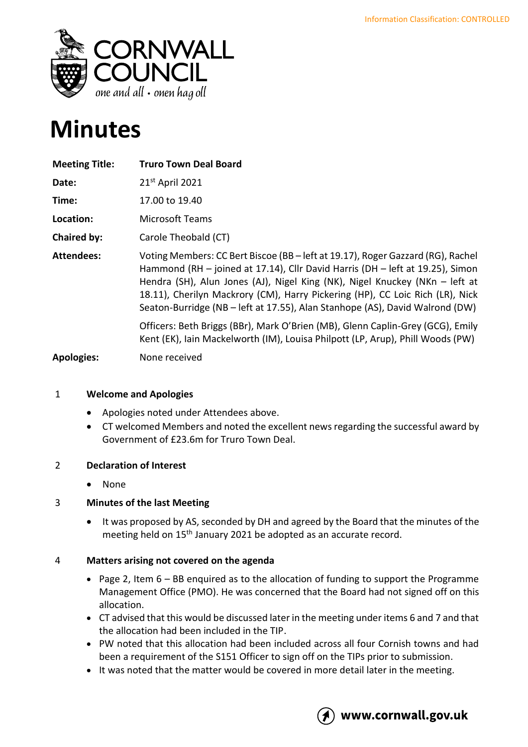

# **Minutes**

| <b>Meeting Title:</b> | <b>Truro Town Deal Board</b>                                                                                                                                                                                                                                                                                                                                                                                     |
|-----------------------|------------------------------------------------------------------------------------------------------------------------------------------------------------------------------------------------------------------------------------------------------------------------------------------------------------------------------------------------------------------------------------------------------------------|
| Date:                 | 21st April 2021                                                                                                                                                                                                                                                                                                                                                                                                  |
| Time:                 | 17.00 to 19.40                                                                                                                                                                                                                                                                                                                                                                                                   |
| Location:             | Microsoft Teams                                                                                                                                                                                                                                                                                                                                                                                                  |
| Chaired by:           | Carole Theobald (CT)                                                                                                                                                                                                                                                                                                                                                                                             |
| <b>Attendees:</b>     | Voting Members: CC Bert Biscoe (BB – left at 19.17), Roger Gazzard (RG), Rachel<br>Hammond (RH – joined at 17.14), Cllr David Harris (DH – left at 19.25), Simon<br>Hendra (SH), Alun Jones (AJ), Nigel King (NK), Nigel Knuckey (NKn – left at<br>18.11), Cherilyn Mackrory (CM), Harry Pickering (HP), CC Loic Rich (LR), Nick<br>Seaton-Burridge (NB - left at 17.55), Alan Stanhope (AS), David Walrond (DW) |
|                       | Officers: Beth Briggs (BBr), Mark O'Brien (MB), Glenn Caplin-Grey (GCG), Emily<br>Kent (EK), Iain Mackelworth (IM), Louisa Philpott (LP, Arup), Phill Woods (PW)                                                                                                                                                                                                                                                 |
| <b>Apologies:</b>     | None received                                                                                                                                                                                                                                                                                                                                                                                                    |

# 1 **Welcome and Apologies**

- Apologies noted under Attendees above.
- CT welcomed Members and noted the excellent news regarding the successful award by Government of £23.6m for Truro Town Deal.

#### 2 **Declaration of Interest**

• None

# 3 **Minutes of the last Meeting**

• It was proposed by AS, seconded by DH and agreed by the Board that the minutes of the meeting held on 15<sup>th</sup> January 2021 be adopted as an accurate record.

#### 4 **Matters arising not covered on the agenda**

- Page 2, Item 6 BB enquired as to the allocation of funding to support the Programme Management Office (PMO). He was concerned that the Board had not signed off on this allocation.
- CT advised that this would be discussed later in the meeting under items 6 and 7 and that the allocation had been included in the TIP.
- PW noted that this allocation had been included across all four Cornish towns and had been a requirement of the S151 Officer to sign off on the TIPs prior to submission.
- It was noted that the matter would be covered in more detail later in the meeting.

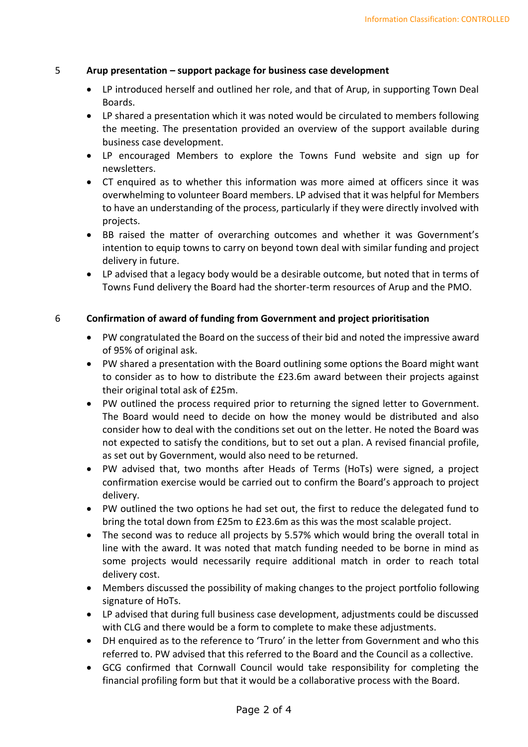## 5 **Arup presentation – support package for business case development**

- LP introduced herself and outlined her role, and that of Arup, in supporting Town Deal Boards.
- LP shared a presentation which it was noted would be circulated to members following the meeting. The presentation provided an overview of the support available during business case development.
- LP encouraged Members to explore the Towns Fund website and sign up for newsletters.
- CT enquired as to whether this information was more aimed at officers since it was overwhelming to volunteer Board members. LP advised that it was helpful for Members to have an understanding of the process, particularly if they were directly involved with projects.
- BB raised the matter of overarching outcomes and whether it was Government's intention to equip towns to carry on beyond town deal with similar funding and project delivery in future.
- LP advised that a legacy body would be a desirable outcome, but noted that in terms of Towns Fund delivery the Board had the shorter-term resources of Arup and the PMO.

## 6 **Confirmation of award of funding from Government and project prioritisation**

- PW congratulated the Board on the success of their bid and noted the impressive award of 95% of original ask.
- PW shared a presentation with the Board outlining some options the Board might want to consider as to how to distribute the £23.6m award between their projects against their original total ask of £25m.
- PW outlined the process required prior to returning the signed letter to Government. The Board would need to decide on how the money would be distributed and also consider how to deal with the conditions set out on the letter. He noted the Board was not expected to satisfy the conditions, but to set out a plan. A revised financial profile, as set out by Government, would also need to be returned.
- PW advised that, two months after Heads of Terms (HoTs) were signed, a project confirmation exercise would be carried out to confirm the Board's approach to project delivery.
- PW outlined the two options he had set out, the first to reduce the delegated fund to bring the total down from £25m to £23.6m as this was the most scalable project.
- The second was to reduce all projects by 5.57% which would bring the overall total in line with the award. It was noted that match funding needed to be borne in mind as some projects would necessarily require additional match in order to reach total delivery cost.
- Members discussed the possibility of making changes to the project portfolio following signature of HoTs.
- LP advised that during full business case development, adjustments could be discussed with CLG and there would be a form to complete to make these adjustments.
- DH enquired as to the reference to 'Truro' in the letter from Government and who this referred to. PW advised that this referred to the Board and the Council as a collective.
- GCG confirmed that Cornwall Council would take responsibility for completing the financial profiling form but that it would be a collaborative process with the Board.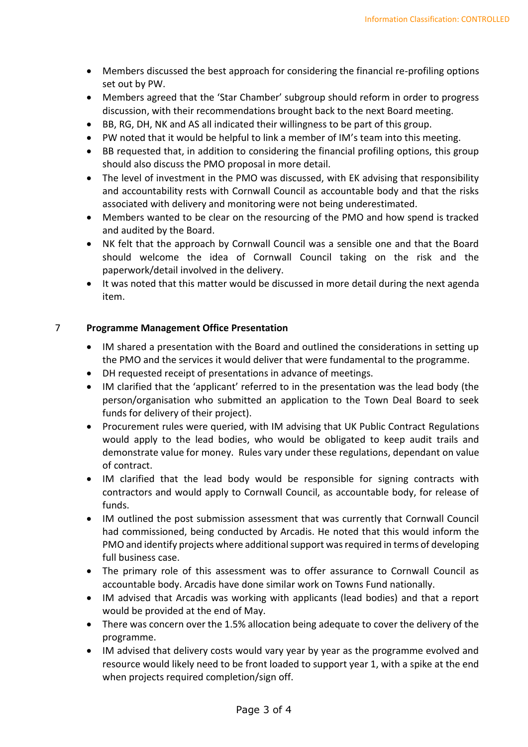- Members discussed the best approach for considering the financial re-profiling options set out by PW.
- Members agreed that the 'Star Chamber' subgroup should reform in order to progress discussion, with their recommendations brought back to the next Board meeting.
- BB, RG, DH, NK and AS all indicated their willingness to be part of this group.
- PW noted that it would be helpful to link a member of IM's team into this meeting.
- BB requested that, in addition to considering the financial profiling options, this group should also discuss the PMO proposal in more detail.
- The level of investment in the PMO was discussed, with EK advising that responsibility and accountability rests with Cornwall Council as accountable body and that the risks associated with delivery and monitoring were not being underestimated.
- Members wanted to be clear on the resourcing of the PMO and how spend is tracked and audited by the Board.
- NK felt that the approach by Cornwall Council was a sensible one and that the Board should welcome the idea of Cornwall Council taking on the risk and the paperwork/detail involved in the delivery.
- It was noted that this matter would be discussed in more detail during the next agenda item.

# 7 **Programme Management Office Presentation**

- IM shared a presentation with the Board and outlined the considerations in setting up the PMO and the services it would deliver that were fundamental to the programme.
- DH requested receipt of presentations in advance of meetings.
- IM clarified that the 'applicant' referred to in the presentation was the lead body (the person/organisation who submitted an application to the Town Deal Board to seek funds for delivery of their project).
- Procurement rules were queried, with IM advising that UK Public Contract Regulations would apply to the lead bodies, who would be obligated to keep audit trails and demonstrate value for money. Rules vary under these regulations, dependant on value of contract.
- IM clarified that the lead body would be responsible for signing contracts with contractors and would apply to Cornwall Council, as accountable body, for release of funds.
- IM outlined the post submission assessment that was currently that Cornwall Council had commissioned, being conducted by Arcadis. He noted that this would inform the PMO and identify projects where additional support was required in terms of developing full business case.
- The primary role of this assessment was to offer assurance to Cornwall Council as accountable body. Arcadis have done similar work on Towns Fund nationally.
- IM advised that Arcadis was working with applicants (lead bodies) and that a report would be provided at the end of May.
- There was concern over the 1.5% allocation being adequate to cover the delivery of the programme.
- IM advised that delivery costs would vary year by year as the programme evolved and resource would likely need to be front loaded to support year 1, with a spike at the end when projects required completion/sign off.